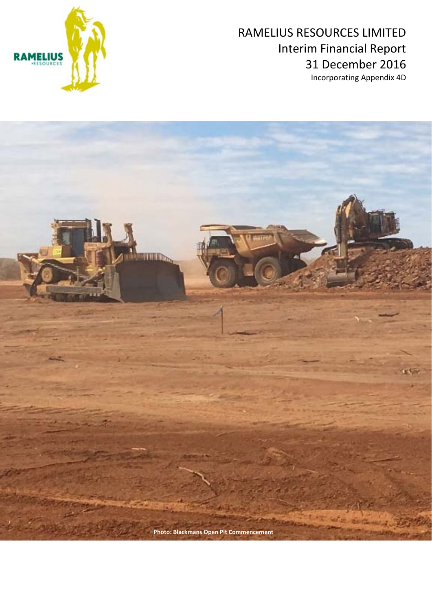



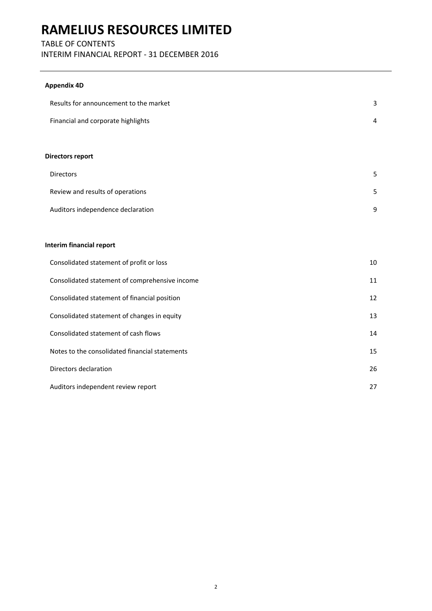### TABLE OF CONTENTS

INTERIM FINANCIAL REPORT ‐ 31 DECEMBER 2016

### **Appendix 4D**

| Results for announcement to the market         | 3  |
|------------------------------------------------|----|
| Financial and corporate highlights             | 4  |
| <b>Directors report</b>                        |    |
|                                                |    |
| Directors                                      | 5  |
| Review and results of operations               | 5  |
| Auditors independence declaration              | 9  |
|                                                |    |
| <b>Interim financial report</b>                |    |
| Consolidated statement of profit or loss       | 10 |
| Consolidated statement of comprehensive income | 11 |
| Consolidated statement of financial position   | 12 |
| Consolidated statement of changes in equity    | 13 |
| Consolidated statement of cash flows           | 14 |
| Notes to the consolidated financial statements | 15 |
| Directors declaration                          | 26 |
| Auditors independent review report             | 27 |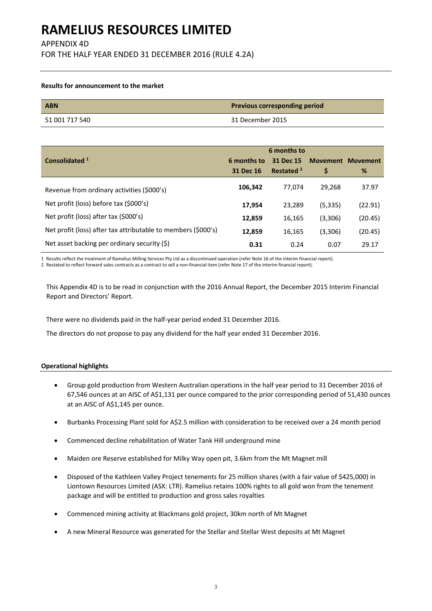APPENDIX 4D

FOR THE HALF YEAR ENDED 31 DECEMBER 2016 (RULE 4.2A)

#### **Results for announcement to the market**

| <b>ABN</b>     | <b>Previous corresponding period</b> |
|----------------|--------------------------------------|
| 51 001 717 540 | 31 December 2015                     |

| 6 months to                                                   |             |                       |          |                          |
|---------------------------------------------------------------|-------------|-----------------------|----------|--------------------------|
| Consolidated <sup>1</sup>                                     | 6 months to | 31 Dec 15             |          | <b>Movement Movement</b> |
|                                                               | 31 Dec 16   | Restated <sup>2</sup> | \$       | %                        |
| Revenue from ordinary activities (\$000's)                    | 106,342     | 77.074                | 29.268   | 37.97                    |
| Net profit (loss) before tax (\$000's)                        | 17,954      | 23.289                | (5, 335) | (22.91)                  |
| Net profit (loss) after tax (\$000's)                         | 12,859      | 16,165                | (3,306)  | (20.45)                  |
| Net profit (loss) after tax attributable to members (\$000's) | 12,859      | 16,165                | (3,306)  | (20.45)                  |
| Net asset backing per ordinary security (\$)                  | 0.31        | 0.24                  | 0.07     | 29.17                    |

1 Results reflect the treatment of Ramelius Milling Services Pty Ltd as a discontinued operation (refer Note 16 of the interim financial report).

2 Restated to reflect forward sales contracts as a contract to sell a non-financial item (refer Note 17 of the interim financial report).

This Appendix 4D is to be read in conjunction with the 2016 Annual Report, the December 2015 Interim Financial Report and Directors' Report.

There were no dividends paid in the half‐year period ended 31 December 2016.

The directors do not propose to pay any dividend for the half year ended 31 December 2016.

#### **Operational highlights**

- Group gold production from Western Australian operations in the half year period to 31 December 2016 of 67,546 ounces at an AISC of A\$1,131 per ounce compared to the prior corresponding period of 51,430 ounces at an AISC of A\$1,145 per ounce.
- Burbanks Processing Plant sold for A\$2.5 million with consideration to be received over a 24 month period
- Commenced decline rehabilitation of Water Tank Hill underground mine
- Maiden ore Reserve established for Milky Way open pit, 3.6km from the Mt Magnet mill
- Disposed of the Kathleen Valley Project tenements for 25 million shares (with a fair value of \$425,000) in Liontown Resources Limited (ASX: LTR). Ramelius retains 100% rights to all gold won from the tenement package and will be entitled to production and gross sales royalties
- Commenced mining activity at Blackmans gold project, 30km north of Mt Magnet
- A new Mineral Resource was generated for the Stellar and Stellar West deposits at Mt Magnet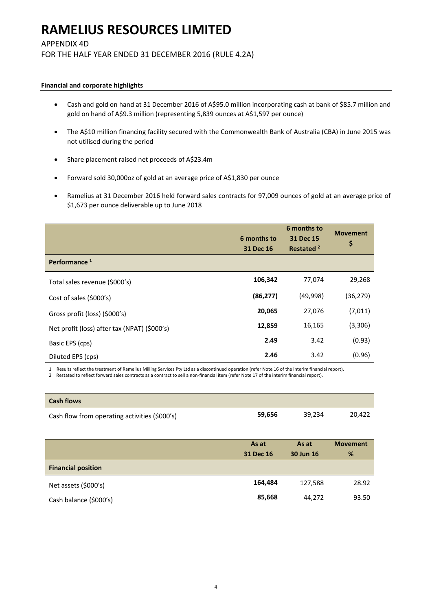### APPENDIX 4D

FOR THE HALF YEAR ENDED 31 DECEMBER 2016 (RULE 4.2A)

#### **Financial and corporate highlights**

- Cash and gold on hand at 31 December 2016 of A\$95.0 million incorporating cash at bank of \$85.7 million and gold on hand of A\$9.3 million (representing 5,839 ounces at A\$1,597 per ounce)
- The A\$10 million financing facility secured with the Commonwealth Bank of Australia (CBA) in June 2015 was not utilised during the period
- Share placement raised net proceeds of A\$23.4m
- Forward sold 30,000oz of gold at an average price of A\$1,830 per ounce
- Ramelius at 31 December 2016 held forward sales contracts for 97,009 ounces of gold at an average price of \$1,673 per ounce deliverable up to June 2018

|                                              | 6 months to<br>31 Dec 16 | 6 months to<br>31 Dec 15<br>Restated <sup>2</sup> | <b>Movement</b><br>\$ |
|----------------------------------------------|--------------------------|---------------------------------------------------|-----------------------|
| Performance <sup>1</sup>                     |                          |                                                   |                       |
| Total sales revenue (\$000's)                | 106,342                  | 77,074                                            | 29,268                |
| Cost of sales (\$000's)                      | (86, 277)                | (49,998)                                          | (36, 279)             |
| Gross profit (loss) (\$000's)                | 20,065                   | 27,076                                            | (7,011)               |
| Net profit (loss) after tax (NPAT) (\$000's) | 12,859                   | 16,165                                            | (3,306)               |
| Basic EPS (cps)                              | 2.49                     | 3.42                                              | (0.93)                |
| Diluted EPS (cps)                            | 2.46                     | 3.42                                              | (0.96)                |

1 Results reflect the treatment of Ramelius Milling Services Pty Ltd as a discontinued operation (refer Note 16 of the interim financial report).

2 Restated to reflect forward sales contracts as a contract to sell a non-financial item (refer Note 17 of the interim financial report).

| <b>Cash flows</b>                             |           |           |                 |
|-----------------------------------------------|-----------|-----------|-----------------|
| Cash flow from operating activities (\$000's) | 59,656    | 39,234    | 20,422          |
|                                               |           |           |                 |
|                                               | As at     | As at     | <b>Movement</b> |
|                                               | 31 Dec 16 | 30 Jun 16 | %               |
| Einancial nocition                            |           |           |                 |

| <b>Financial position</b> |         |         |       |
|---------------------------|---------|---------|-------|
| Net assets (\$000's)      | 164,484 | 127.588 | 28.92 |
| Cash balance (\$000's)    | 85.668  | 44.272  | 93.50 |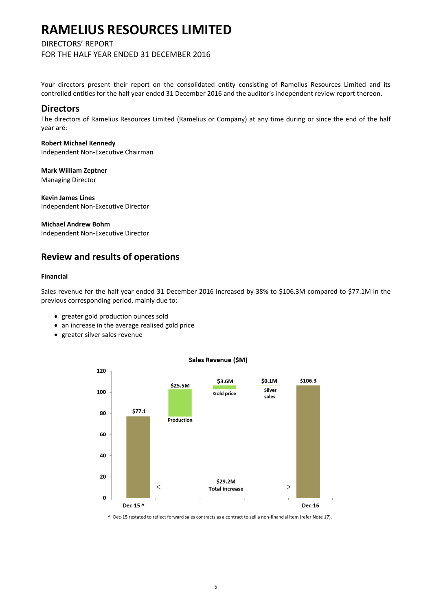### DIRECTORS' REPORT

FOR THE HALF YEAR ENDED 31 DECEMBER 2016

Your directors present their report on the consolidated entity consisting of Ramelius Resources Limited and its controlled entities for the half year ended 31 December 2016 and the auditor's independent review report thereon.

### **Directors**

The directors of Ramelius Resources Limited (Ramelius or Company) at any time during or since the end of the half year are:

**Robert Michael Kennedy** Independent Non‐Executive Chairman

**Mark William Zeptner** Managing Director

**Kevin James Lines**  Independent Non‐Executive Director

**Michael Andrew Bohm**

Independent Non‐Executive Director

### **Review and results of operations**

#### **Financial**

Sales revenue for the half year ended 31 December 2016 increased by 38% to \$106.3M compared to \$77.1M in the previous corresponding period, mainly due to:

- greater gold production ounces sold
- an increase in the average realised gold price
- greater silver sales revenue



Sales Revenue (\$M)

^ Dec‐15 restated to reflect forward sales contracts as a contract to sell a non‐financial item (refer Note 17).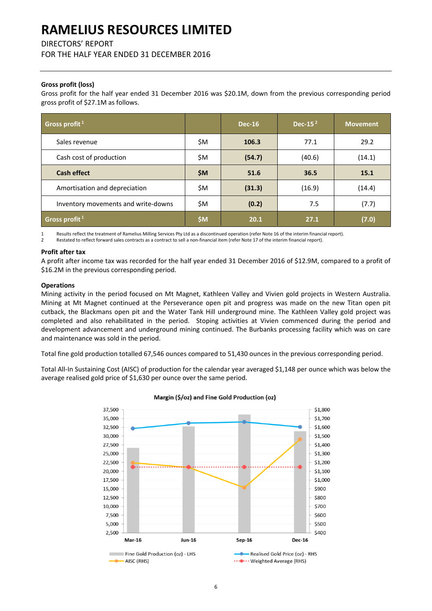DIRECTORS' REPORT

FOR THE HALF YEAR ENDED 31 DECEMBER 2016

### **Gross profit (loss)**

Gross profit for the half year ended 31 December 2016 was \$20.1M, down from the previous corresponding period gross profit of \$27.1M as follows.

| Gross profit <sup>1</sup>           |       | <b>Dec-16</b> | Dec-15 $2$ | <b>Movement</b> |
|-------------------------------------|-------|---------------|------------|-----------------|
| Sales revenue                       | \$M   | 106.3         | 77.1       | 29.2            |
| Cash cost of production             | \$M   | (54.7)        | (40.6)     | (14.1)          |
| <b>Cash effect</b>                  | \$M\$ | 51.6          | 36.5       | 15.1            |
| Amortisation and depreciation       | \$M   | (31.3)        | (16.9)     | (14.4)          |
| Inventory movements and write-downs | \$M   | (0.2)         | 7.5        | (7.7)           |
| Gross profit $1$                    | \$M   | 20.1          | 27.1       | (7.0)           |

1 Results reflect the treatment of Ramelius Milling Services Pty Ltd as a discontinued operation (refer Note 16 of the interim financial report).

2 Restated to reflect forward sales contracts as a contract to sell a non‐financial item (refer Note 17 of the interim financial report).

#### **Profit after tax**

A profit after income tax was recorded for the half year ended 31 December 2016 of \$12.9M, compared to a profit of \$16.2M in the previous corresponding period.

#### **Operations**

Mining activity in the period focused on Mt Magnet, Kathleen Valley and Vivien gold projects in Western Australia. Mining at Mt Magnet continued at the Perseverance open pit and progress was made on the new Titan open pit cutback, the Blackmans open pit and the Water Tank Hill underground mine. The Kathleen Valley gold project was completed and also rehabilitated in the period. Stoping activities at Vivien commenced during the period and development advancement and underground mining continued. The Burbanks processing facility which was on care and maintenance was sold in the period.

Total fine gold production totalled 67,546 ounces compared to 51,430 ounces in the previous corresponding period.

Total All-In Sustaining Cost (AISC) of production for the calendar year averaged \$1,148 per ounce which was below the average realised gold price of \$1,630 per ounce over the same period.



#### Margin (\$/oz) and Fine Gold Production (oz)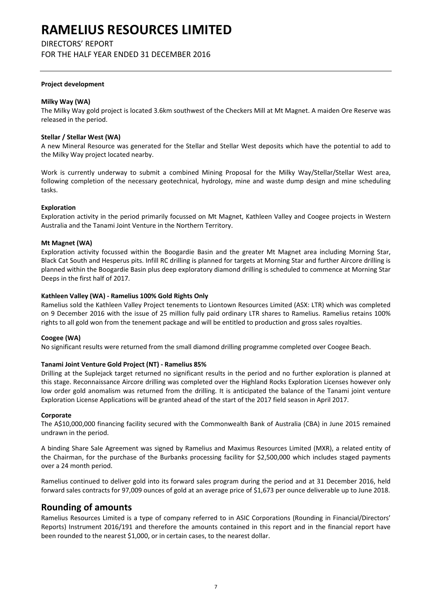### DIRECTORS' REPORT

FOR THE HALF YEAR ENDED 31 DECEMBER 2016

#### **Project development**

#### **Milky Way (WA)**

The Milky Way gold project is located 3.6km southwest of the Checkers Mill at Mt Magnet. A maiden Ore Reserve was released in the period.

#### **Stellar / Stellar West (WA)**

A new Mineral Resource was generated for the Stellar and Stellar West deposits which have the potential to add to the Milky Way project located nearby.

Work is currently underway to submit a combined Mining Proposal for the Milky Way/Stellar/Stellar West area, following completion of the necessary geotechnical, hydrology, mine and waste dump design and mine scheduling tasks.

#### **Exploration**

Exploration activity in the period primarily focussed on Mt Magnet, Kathleen Valley and Coogee projects in Western Australia and the Tanami Joint Venture in the Northern Territory.

#### **Mt Magnet (WA)**

Exploration activity focussed within the Boogardie Basin and the greater Mt Magnet area including Morning Star, Black Cat South and Hesperus pits. Infill RC drilling is planned for targets at Morning Star and further Aircore drilling is planned within the Boogardie Basin plus deep exploratory diamond drilling is scheduled to commence at Morning Star Deeps in the first half of 2017.

#### **Kathleen Valley (WA) ‐ Ramelius 100% Gold Rights Only**

Ramelius sold the Kathleen Valley Project tenements to Liontown Resources Limited (ASX: LTR) which was completed on 9 December 2016 with the issue of 25 million fully paid ordinary LTR shares to Ramelius. Ramelius retains 100% rights to all gold won from the tenement package and will be entitled to production and gross sales royalties.

### **Coogee (WA)**

No significant results were returned from the small diamond drilling programme completed over Coogee Beach.

#### **Tanami Joint Venture Gold Project (NT) ‐ Ramelius 85%**

Drilling at the Suplejack target returned no significant results in the period and no further exploration is planned at this stage. Reconnaissance Aircore drilling was completed over the Highland Rocks Exploration Licenses however only low order gold anomalism was returned from the drilling. It is anticipated the balance of the Tanami joint venture Exploration License Applications will be granted ahead of the start of the 2017 field season in April 2017.

#### **Corporate**

The A\$10,000,000 financing facility secured with the Commonwealth Bank of Australia (CBA) in June 2015 remained undrawn in the period.

A binding Share Sale Agreement was signed by Ramelius and Maximus Resources Limited (MXR), a related entity of the Chairman, for the purchase of the Burbanks processing facility for \$2,500,000 which includes staged payments over a 24 month period.

Ramelius continued to deliver gold into its forward sales program during the period and at 31 December 2016, held forward sales contracts for 97,009 ounces of gold at an average price of \$1,673 per ounce deliverable up to June 2018.

### **Rounding of amounts**

Ramelius Resources Limited is a type of company referred to in ASIC Corporations (Rounding in Financial/Directors' Reports) Instrument 2016/191 and therefore the amounts contained in this report and in the financial report have been rounded to the nearest \$1,000, or in certain cases, to the nearest dollar.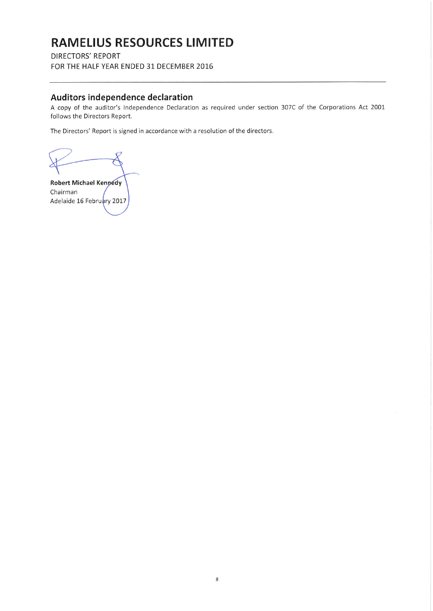**DIRECTORS' REPORT** FOR THE HALF YEAR ENDED 31 DECEMBER 2016

### Auditors independence declaration

A copy of the auditor's Independence Declaration as required under section 307C of the Corporations Act 2001 follows the Directors Report.

The Directors' Report is signed in accordance with a resolution of the directors.

**Robert Michael Kennedy** Chairman Adelaide 16 February 2017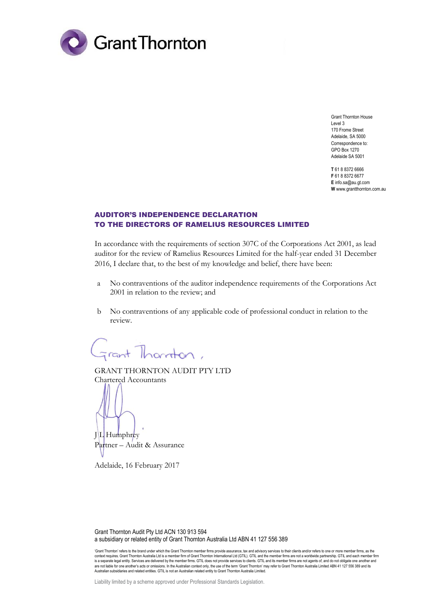

Grant Thornton House Level 3 170 Frome Street Adelaide, SA 5000 Correspondence to: GPO Box 1270 Adelaide SA 5001

**T** 61 8 8372 6666 **F** 61 8 8372 6677 **E** info.sa@au.gt.com **W** www.grantthornton.com.au

### AUDITOR'S INDEPENDENCE DECLARATION TO THE DIRECTORS OF RAMELIUS RESOURCES LIMITED

In accordance with the requirements of section 307C of the Corporations Act 2001, as lead auditor for the review of Ramelius Resources Limited for the half-year ended 31 December 2016, I declare that, to the best of my knowledge and belief, there have been:

- a No contraventions of the auditor independence requirements of the Corporations Act 2001 in relation to the review; and
- b No contraventions of any applicable code of professional conduct in relation to the review.

irant Thornton,

GRANT THORNTON AUDIT PTY LTD Chartered Accountants

 $J/L$  Humphrey Partner – Audit & Assurance

Adelaide, 16 February 2017

Grant Thornton Audit Pty Ltd ACN 130 913 594 a subsidiary or related entity of Grant Thornton Australia Ltd ABN 41 127 556 389

'Grant Thornton' refers to the brand under which the Grant Thornton member firms provide assurance, tax and advisory services to their clients and/or refers to one or more member firms, as the context requires. Grant Thornton Australia Ltd is a member firm of Grant Thornton International Ltd (GTIL). GTIL and the member firms are not a worldwide partnership. GTIL and each member firm is a separate legal entity. Services are delivered by the member firms. GTIL does not provide services to clients. GTIL and its member firms are not agents of, and do not obligate one another and are not liable for one another's acts or omissions. In the Australian context only, the use of the term 'Grant Thornton' may refer to Grant Thornton Australia Limited ABN 41 127 556 389 and its Australian subsidiaries and related entities. GTIL is not an Australian related entity to Grant Thornton Australia Limited.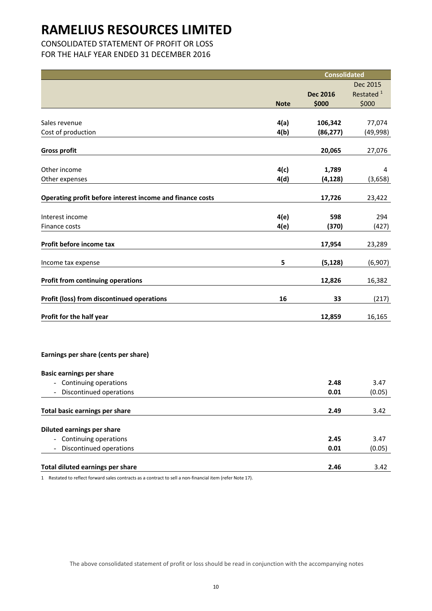## CONSOLIDATED STATEMENT OF PROFIT OR LOSS

FOR THE HALF YEAR ENDED 31 DECEMBER 2016

|                                                           |             | <b>Consolidated</b> |                       |
|-----------------------------------------------------------|-------------|---------------------|-----------------------|
|                                                           |             |                     | Dec 2015              |
|                                                           |             | <b>Dec 2016</b>     | Restated <sup>1</sup> |
|                                                           | <b>Note</b> | \$000               | \$000                 |
|                                                           |             |                     |                       |
| Sales revenue                                             | 4(a)        | 106,342             | 77,074                |
| Cost of production                                        | 4(b)        | (86, 277)           | (49, 998)             |
| <b>Gross profit</b>                                       |             | 20,065              | 27,076                |
| Other income                                              | 4(c)        | 1,789               | 4                     |
| Other expenses                                            | 4(d)        | (4, 128)            | (3,658)               |
|                                                           |             |                     |                       |
| Operating profit before interest income and finance costs |             | 17,726              | 23,422                |
| Interest income                                           | 4(e)        | 598                 | 294                   |
| Finance costs                                             | 4(e)        | (370)               | (427)                 |
| Profit before income tax                                  |             | 17,954              | 23,289                |
| Income tax expense                                        | 5           | (5, 128)            | (6,907)               |
| <b>Profit from continuing operations</b>                  |             | 12,826              | 16,382                |
| Profit (loss) from discontinued operations                | 16          | 33                  | (217)                 |
|                                                           |             |                     |                       |
| Profit for the half year                                  |             | 12,859              | 16,165                |
|                                                           |             |                     |                       |
| Earnings per share (cents per share)                      |             |                     |                       |
| <b>Basic earnings per share</b>                           |             |                     |                       |
| - Continuing operations                                   |             | 2.48                | 3.47                  |
| - Discontinued operations                                 |             | 0.01                | (0.05)                |
| <b>Total basic earnings per share</b>                     |             | 2.49                | 3.42                  |
| <b>Diluted earnings per share</b>                         |             |                     |                       |
| - Continuing operations                                   |             | 2.45                | 3.47                  |
| Discontinued operations                                   |             | 0.01                | (0.05)                |
|                                                           |             |                     |                       |
| Total diluted earnings per share                          |             | 2.46                | 3.42                  |
|                                                           |             |                     |                       |

1 Restated to reflect forward sales contracts as a contract to sell a non-financial item (refer Note 17).

The above consolidated statement of profit or loss should be read in conjunction with the accompanying notes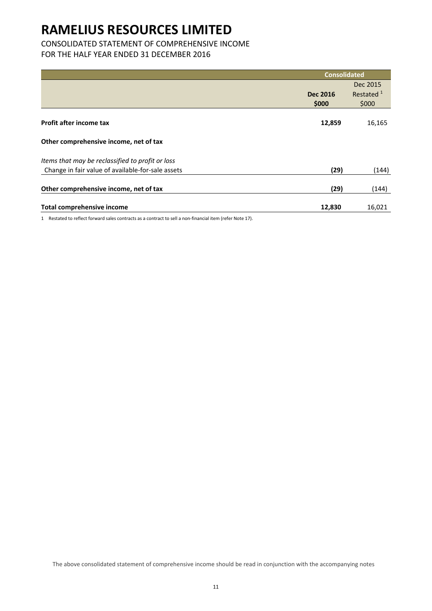## CONSOLIDATED STATEMENT OF COMPREHENSIVE INCOME

## FOR THE HALF YEAR ENDED 31 DECEMBER 2016

|                                                   | <b>Consolidated</b> |                       |
|---------------------------------------------------|---------------------|-----------------------|
|                                                   |                     | Dec 2015              |
|                                                   | <b>Dec 2016</b>     | Restated <sup>1</sup> |
|                                                   | \$000               | \$000                 |
| Profit after income tax                           | 12,859              | 16,165                |
| Other comprehensive income, net of tax            |                     |                       |
| Items that may be reclassified to profit or loss  |                     |                       |
| Change in fair value of available-for-sale assets | (29)                | (144)                 |
| Other comprehensive income, net of tax            | (29)                | (144)                 |
| <b>Total comprehensive income</b>                 | 12,830              | 16,021                |

1 Restated to reflect forward sales contracts as a contract to sell a non-financial item (refer Note 17).

The above consolidated statement of comprehensive income should be read in conjunction with the accompanying notes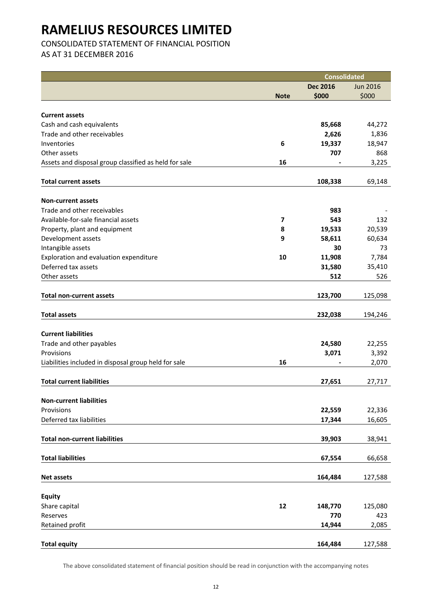CONSOLIDATED STATEMENT OF FINANCIAL POSITION

AS AT 31 DECEMBER 2016

|                                                       |                         | <b>Consolidated</b> |                 |
|-------------------------------------------------------|-------------------------|---------------------|-----------------|
|                                                       |                         | <b>Dec 2016</b>     | <b>Jun 2016</b> |
|                                                       | <b>Note</b>             | \$000               | \$000           |
|                                                       |                         |                     |                 |
| <b>Current assets</b>                                 |                         |                     |                 |
| Cash and cash equivalents                             |                         | 85,668              | 44,272          |
| Trade and other receivables                           |                         | 2,626               | 1,836           |
| Inventories                                           | 6                       | 19,337              | 18,947          |
| Other assets                                          |                         | 707                 | 868             |
| Assets and disposal group classified as held for sale | 16                      |                     | 3,225           |
| <b>Total current assets</b>                           |                         | 108,338             | 69,148          |
|                                                       |                         |                     |                 |
| <b>Non-current assets</b>                             |                         |                     |                 |
| Trade and other receivables                           |                         | 983                 |                 |
| Available-for-sale financial assets                   | $\overline{\mathbf{z}}$ | 543                 | 132             |
| Property, plant and equipment                         | 8                       | 19,533              | 20,539          |
| Development assets                                    | 9                       | 58,611              | 60,634          |
| Intangible assets                                     |                         | 30                  | 73              |
| Exploration and evaluation expenditure                | 10                      | 11,908              | 7,784           |
| Deferred tax assets                                   |                         | 31,580              | 35,410          |
| Other assets                                          |                         | 512                 | 526             |
| <b>Total non-current assets</b>                       |                         | 123,700             | 125,098         |
|                                                       |                         |                     |                 |
| <b>Total assets</b>                                   |                         | 232,038             | 194,246         |
|                                                       |                         |                     |                 |
| <b>Current liabilities</b>                            |                         |                     |                 |
| Trade and other payables                              |                         | 24,580              | 22,255          |
| Provisions                                            |                         | 3,071               | 3,392           |
| Liabilities included in disposal group held for sale  | 16                      |                     | 2,070           |
| <b>Total current liabilities</b>                      |                         | 27,651              | 27,717          |
|                                                       |                         |                     |                 |
| <b>Non-current liabilities</b>                        |                         |                     |                 |
| Provisions                                            |                         | 22,559              | 22,336          |
| Deferred tax liabilities                              |                         | 17,344              | 16,605          |
| <b>Total non-current liabilities</b>                  |                         | 39,903              | 38,941          |
|                                                       |                         |                     |                 |
| <b>Total liabilities</b>                              |                         | 67,554              | 66,658          |
| <b>Net assets</b>                                     |                         | 164,484             | 127,588         |
|                                                       |                         |                     |                 |
| <b>Equity</b>                                         |                         |                     |                 |
| Share capital                                         | $12\,$                  | 148,770             | 125,080         |
| Reserves                                              |                         | 770                 | 423             |
| Retained profit                                       |                         | 14,944              | 2,085           |
| <b>Total equity</b>                                   |                         | 164,484             | 127,588         |
|                                                       |                         |                     |                 |

The above consolidated statement of financial position should be read in conjunction with the accompanying notes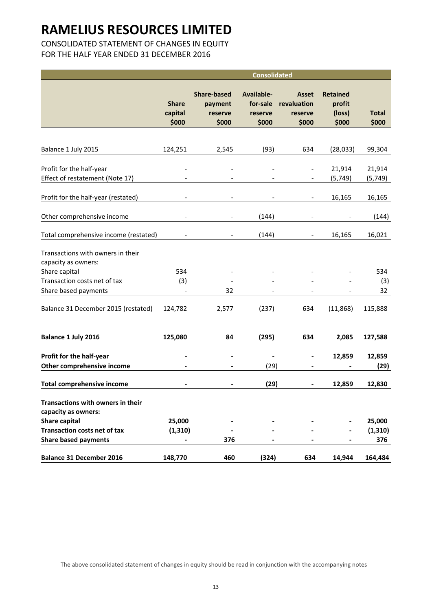## CONSOLIDATED STATEMENT OF CHANGES IN EQUITY

FOR THE HALF YEAR ENDED 31 DECEMBER 2016

|                                                          | <b>Consolidated</b>              |                                                   |                                            |                                          |                                              |                       |
|----------------------------------------------------------|----------------------------------|---------------------------------------------------|--------------------------------------------|------------------------------------------|----------------------------------------------|-----------------------|
|                                                          | <b>Share</b><br>capital<br>\$000 | <b>Share-based</b><br>payment<br>reserve<br>\$000 | Available-<br>for-sale<br>reserve<br>\$000 | Asset<br>revaluation<br>reserve<br>\$000 | <b>Retained</b><br>profit<br>(loss)<br>\$000 | <b>Total</b><br>\$000 |
|                                                          |                                  |                                                   |                                            |                                          |                                              |                       |
| Balance 1 July 2015                                      | 124,251                          | 2,545                                             | (93)                                       | 634                                      | (28, 033)                                    | 99,304                |
| Profit for the half-year                                 |                                  |                                                   |                                            |                                          | 21,914                                       | 21,914                |
| Effect of restatement (Note 17)                          |                                  |                                                   |                                            |                                          | (5,749)                                      | (5, 749)              |
| Profit for the half-year (restated)                      |                                  |                                                   |                                            |                                          | 16,165                                       | 16,165                |
| Other comprehensive income                               |                                  |                                                   | (144)                                      |                                          |                                              | (144)                 |
| Total comprehensive income (restated)                    |                                  |                                                   | (144)                                      |                                          | 16,165                                       | 16,021                |
| Transactions with owners in their<br>capacity as owners: |                                  |                                                   |                                            |                                          |                                              |                       |
| Share capital                                            | 534                              |                                                   |                                            |                                          |                                              | 534                   |
| Transaction costs net of tax                             | (3)                              |                                                   |                                            |                                          |                                              | (3)                   |
| Share based payments                                     | $\blacksquare$                   | 32                                                |                                            |                                          |                                              | 32                    |
| Balance 31 December 2015 (restated)                      | 124,782                          | 2,577                                             | (237)                                      | 634                                      | (11,868)                                     | 115,888               |
| Balance 1 July 2016                                      | 125,080                          | 84                                                | (295)                                      | 634                                      | 2,085                                        | 127,588               |
| Profit for the half-year                                 |                                  |                                                   |                                            | $\blacksquare$                           | 12,859                                       | 12,859                |
| Other comprehensive income                               |                                  |                                                   | (29)                                       | $\overline{\phantom{a}}$                 |                                              | (29)                  |
| <b>Total comprehensive income</b>                        |                                  |                                                   | (29)                                       |                                          | 12,859                                       | 12,830                |
| Transactions with owners in their<br>capacity as owners: |                                  |                                                   |                                            |                                          |                                              |                       |
| Share capital                                            | 25,000                           |                                                   |                                            |                                          |                                              | 25,000                |
| <b>Transaction costs net of tax</b>                      | (1, 310)                         |                                                   |                                            |                                          |                                              | (1, 310)              |
| <b>Share based payments</b>                              |                                  | 376                                               |                                            |                                          |                                              | 376                   |
| <b>Balance 31 December 2016</b>                          | 148,770                          | 460                                               | (324)                                      | 634                                      | 14,944                                       | 164,484               |

The above consolidated statement of changes in equity should be read in conjunction with the accompanying notes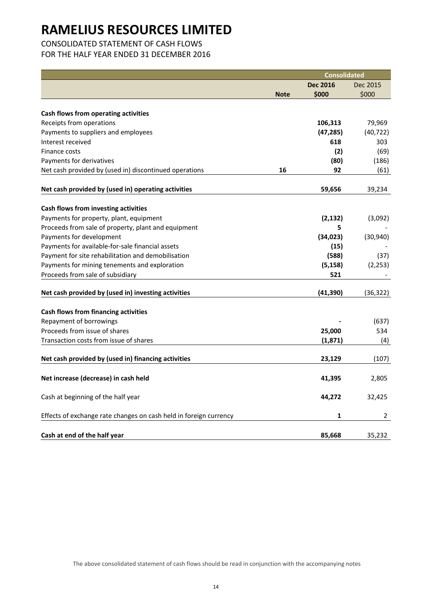## CONSOLIDATED STATEMENT OF CASH FLOWS

FOR THE HALF YEAR ENDED 31 DECEMBER 2016

|                                                                   |             | <b>Consolidated</b> |                |
|-------------------------------------------------------------------|-------------|---------------------|----------------|
|                                                                   |             | <b>Dec 2016</b>     | Dec 2015       |
|                                                                   | <b>Note</b> | \$000               | \$000          |
|                                                                   |             |                     |                |
| Cash flows from operating activities                              |             |                     |                |
| Receipts from operations                                          |             | 106,313             | 79,969         |
| Payments to suppliers and employees                               |             | (47, 285)           | (40, 722)      |
| Interest received                                                 |             | 618                 | 303            |
| Finance costs                                                     |             | (2)                 | (69)           |
| Payments for derivatives                                          |             | (80)                | (186)          |
| Net cash provided by (used in) discontinued operations            | 16          | 92                  | (61)           |
| Net cash provided by (used in) operating activities               |             | 59,656              | 39,234         |
|                                                                   |             |                     |                |
| Cash flows from investing activities                              |             |                     |                |
| Payments for property, plant, equipment                           |             | (2, 132)            | (3,092)        |
| Proceeds from sale of property, plant and equipment               |             | 5                   |                |
| Payments for development                                          |             | (34, 023)           | (30, 940)      |
| Payments for available-for-sale financial assets                  |             | (15)                |                |
| Payment for site rehabilitation and demobilisation                |             | (588)               | (37)           |
| Payments for mining tenements and exploration                     |             | (5, 158)            | (2, 253)       |
| Proceeds from sale of subsidiary                                  |             | 521                 |                |
| Net cash provided by (used in) investing activities               |             | (41, 390)           | (36,322)       |
|                                                                   |             |                     |                |
| Cash flows from financing activities<br>Repayment of borrowings   |             |                     | (637)          |
| Proceeds from issue of shares                                     |             | 25,000              | 534            |
| Transaction costs from issue of shares                            |             | (1, 871)            | (4)            |
|                                                                   |             |                     |                |
| Net cash provided by (used in) financing activities               |             | 23,129              | (107)          |
| Net increase (decrease) in cash held                              |             | 41,395              | 2,805          |
| Cash at beginning of the half year                                |             | 44,272              | 32,425         |
| Effects of exchange rate changes on cash held in foreign currency |             | 1                   | $\overline{2}$ |
| Cash at end of the half year                                      |             | 85,668              | 35,232         |

The above consolidated statement of cash flows should be read in conjunction with the accompanying notes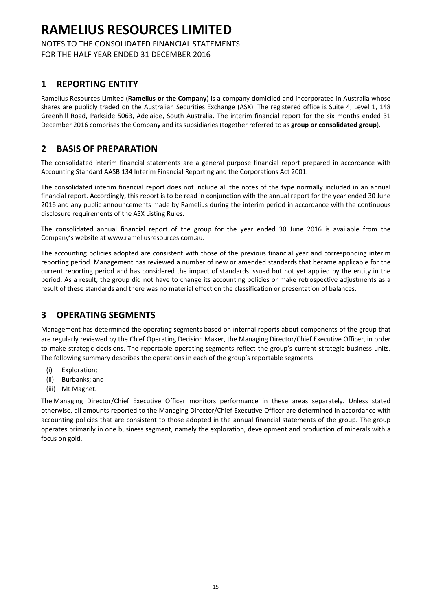NOTES TO THE CONSOLIDATED FINANCIAL STATEMENTS FOR THE HALF YEAR ENDED 31 DECEMBER 2016

## **1 REPORTING ENTITY**

Ramelius Resources Limited (**Ramelius or the Company**) is a company domiciled and incorporated in Australia whose shares are publicly traded on the Australian Securities Exchange (ASX). The registered office is Suite 4, Level 1, 148 Greenhill Road, Parkside 5063, Adelaide, South Australia. The interim financial report for the six months ended 31 December 2016 comprises the Company and its subsidiaries (together referred to as **group or consolidated group**).

## **2 BASIS OF PREPARATION**

The consolidated interim financial statements are a general purpose financial report prepared in accordance with Accounting Standard AASB 134 Interim Financial Reporting and the Corporations Act 2001.

The consolidated interim financial report does not include all the notes of the type normally included in an annual financial report. Accordingly, this report is to be read in conjunction with the annual report for the year ended 30 June 2016 and any public announcements made by Ramelius during the interim period in accordance with the continuous disclosure requirements of the ASX Listing Rules.

The consolidated annual financial report of the group for the year ended 30 June 2016 is available from the Company's website at www.rameliusresources.com.au.

The accounting policies adopted are consistent with those of the previous financial year and corresponding interim reporting period. Management has reviewed a number of new or amended standards that became applicable for the current reporting period and has considered the impact of standards issued but not yet applied by the entity in the period. As a result, the group did not have to change its accounting policies or make retrospective adjustments as a result of these standards and there was no material effect on the classification or presentation of balances.

## **3 OPERATING SEGMENTS**

Management has determined the operating segments based on internal reports about components of the group that are regularly reviewed by the Chief Operating Decision Maker, the Managing Director/Chief Executive Officer, in order to make strategic decisions. The reportable operating segments reflect the group's current strategic business units. The following summary describes the operations in each of the group's reportable segments:

- (i) Exploration;
- (ii) Burbanks; and
- (iii) Mt Magnet.

The Managing Director/Chief Executive Officer monitors performance in these areas separately. Unless stated otherwise, all amounts reported to the Managing Director/Chief Executive Officer are determined in accordance with accounting policies that are consistent to those adopted in the annual financial statements of the group. The group operates primarily in one business segment, namely the exploration, development and production of minerals with a focus on gold.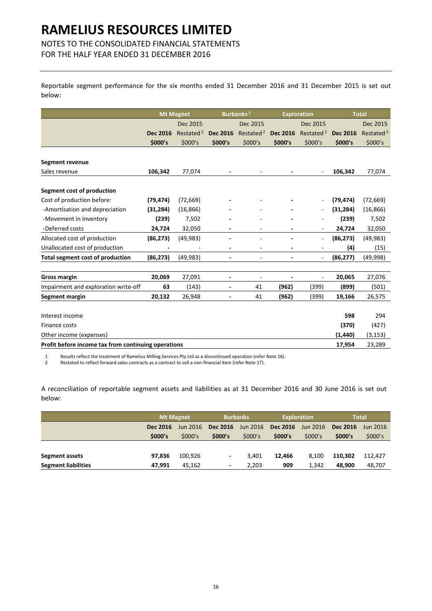## NOTES TO THE CONSOLIDATED FINANCIAL STATEMENTS

FOR THE HALF YEAR ENDED 31 DECEMBER 2016

Reportable segment performance for the six months ended 31 December 2016 and 31 December 2015 is set out below:

|                                                     |                 | <b>Mt Magnet</b>      |                          | Burbanks <sup>1</sup>    | <b>Exploration</b> |                          |                 | <b>Total</b>          |
|-----------------------------------------------------|-----------------|-----------------------|--------------------------|--------------------------|--------------------|--------------------------|-----------------|-----------------------|
|                                                     |                 | Dec 2015              |                          | Dec 2015                 |                    | Dec 2015                 |                 | Dec 2015              |
|                                                     | <b>Dec 2016</b> | Restated <sup>2</sup> | <b>Dec 2016</b>          | Restated <sup>2</sup>    | <b>Dec 2016</b>    | Restated <sup>2</sup>    | <b>Dec 2016</b> | Restated <sup>2</sup> |
|                                                     | \$000's         | \$000's               | \$000's                  | \$000's                  | \$000's            | \$000's                  | \$000's         | \$000's               |
|                                                     |                 |                       |                          |                          |                    |                          |                 |                       |
| Segment revenue                                     |                 |                       |                          |                          |                    |                          |                 |                       |
| Sales revenue                                       | 106,342         | 77,074                |                          | $\overline{\phantom{a}}$ |                    |                          | 106,342         | 77,074                |
| Segment cost of production                          |                 |                       |                          |                          |                    |                          |                 |                       |
| Cost of production before:                          | (79, 474)       | (72, 669)             |                          |                          |                    |                          | (79, 474)       | (72, 669)             |
| -Amortisation and depreciation                      | (31, 284)       | (16, 866)             |                          |                          |                    |                          | (31, 284)       | (16, 866)             |
| -Movement in inventory                              | (239)           | 7,502                 |                          |                          |                    |                          | (239)           | 7,502                 |
| -Deferred costs                                     | 24,724          | 32,050                |                          |                          |                    |                          | 24,724          | 32,050                |
| Allocated cost of production                        | (86, 273)       | (49, 983)             |                          |                          |                    | -                        | (86, 273)       | (49, 983)             |
| Unallocated cost of production                      |                 |                       | ä,                       | $\overline{a}$           |                    | ÷                        | (4)             | (15)                  |
| <b>Total segment cost of production</b>             | (86, 273)       | (49, 983)             | L,                       | ٠                        |                    | $\overline{\phantom{a}}$ | (86, 277)       | (49, 998)             |
|                                                     |                 |                       |                          |                          |                    |                          |                 |                       |
| <b>Gross margin</b>                                 | 20,069          | 27,091                | ٠                        | ٠                        |                    | ÷                        | 20,065          | 27,076                |
| Impairment and exploration write-off                | 63              | (143)                 | $\overline{\phantom{a}}$ | 41                       | (962)              | (399)                    | (899)           | (501)                 |
| Segment margin                                      | 20,132          | 26,948                | ÷                        | 41                       | (962)              | (399)                    | 19,166          | 26,575                |
|                                                     |                 |                       |                          |                          |                    |                          |                 |                       |
| Interest income                                     |                 |                       |                          |                          |                    |                          | 598             | 294                   |
| Finance costs                                       |                 |                       |                          |                          |                    |                          | (370)           | (427)                 |
| Other income (expenses)                             |                 |                       |                          |                          |                    |                          | (1,440)         | (3, 153)              |
| Profit before income tax from continuing operations |                 |                       |                          |                          |                    |                          | 17,954          | 23,289                |

1 Results reflect the treatment of Ramelius Milling Services Pty Ltd as a discontinued operation (refer Note 16).<br>2 Restated to reflect forward sales contracts as a contract to sell a non-financial item (refer Note 17).

2 Restated to reflect forward sales contracts as a contract to sell a non‐financial item (refer Note 17).

A reconciliation of reportable segment assets and liabilities as at 31 December 2016 and 30 June 2016 is set out below:

|                            |          | <b>Mt Magnet</b> |                          | <b>Burbanks</b> |          | <b>Exploration</b> |                 | <b>Total</b> |
|----------------------------|----------|------------------|--------------------------|-----------------|----------|--------------------|-----------------|--------------|
|                            | Dec 2016 | Jun 2016         | Dec 2016                 | Jun 2016        | Dec 2016 | Jun 2016           | <b>Dec 2016</b> | Jun 2016     |
|                            | \$000's  | \$000's          | \$000's                  | \$000's         | \$000's  | \$000's            | \$000's         | \$000's      |
|                            |          |                  |                          |                 |          |                    |                 |              |
| Segment assets             | 97.836   | 100,926          | ٠                        | 3.401           | 12.466   | 8.100              | 110.302         | 112.427      |
| <b>Segment liabilities</b> | 47,991   | 45.162           | $\overline{\phantom{a}}$ | 2,203           | 909      | 1.342              | 48.900          | 48,707       |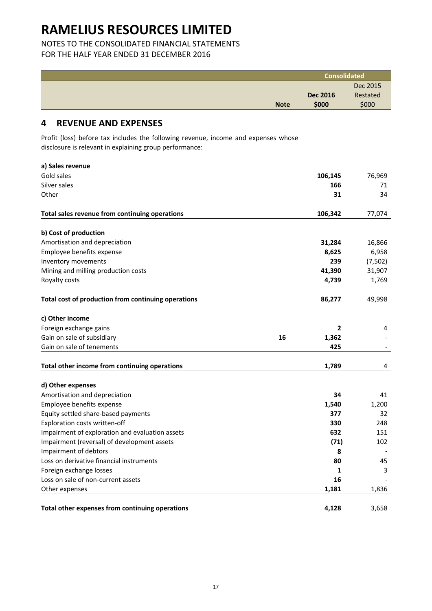### NOTES TO THE CONSOLIDATED FINANCIAL STATEMENTS FOR THE HALF YEAR ENDED 31 DECEMBER 2016

|                                                                                                                                               |             | <b>Consolidated</b> |          |
|-----------------------------------------------------------------------------------------------------------------------------------------------|-------------|---------------------|----------|
|                                                                                                                                               |             |                     | Dec 2015 |
|                                                                                                                                               |             | <b>Dec 2016</b>     | Restated |
|                                                                                                                                               | <b>Note</b> | \$000               | \$000    |
| <b>REVENUE AND EXPENSES</b><br>4                                                                                                              |             |                     |          |
| Profit (loss) before tax includes the following revenue, income and expenses whose<br>disclosure is relevant in explaining group performance: |             |                     |          |
| a) Sales revenue                                                                                                                              |             |                     |          |
| Gold sales                                                                                                                                    |             | 106,145             | 76,969   |
| Silver sales                                                                                                                                  |             | 166                 | 71       |
| Other                                                                                                                                         |             | 31                  | 34       |

| Total sales revenue from continuing operations      |    | 106,342 | 77,074  |
|-----------------------------------------------------|----|---------|---------|
| b) Cost of production                               |    |         |         |
| Amortisation and depreciation                       |    | 31,284  | 16,866  |
| Employee benefits expense                           |    | 8,625   | 6,958   |
| Inventory movements                                 |    | 239     | (7,502) |
| Mining and milling production costs                 |    | 41,390  | 31,907  |
| Royalty costs                                       |    | 4,739   | 1,769   |
| Total cost of production from continuing operations |    | 86,277  | 49,998  |
| c) Other income                                     |    |         |         |
| Foreign exchange gains                              |    | 2       | 4       |
| Gain on sale of subsidiary                          | 16 | 1,362   |         |
| Gain on sale of tenements                           |    | 425     |         |
| Total other income from continuing operations       |    | 1,789   | 4       |
| d) Other expenses                                   |    |         |         |
| Amortisation and depreciation                       |    | 34      | 41      |
| Employee benefits expense                           |    | 1,540   | 1,200   |
| Equity settled share-based payments                 |    | 377     | 32      |
| Exploration costs written-off                       |    | 330     | 248     |
| Impairment of exploration and evaluation assets     |    | 632     | 151     |
| Impairment (reversal) of development assets         |    | (71)    | 102     |
| Impairment of debtors                               |    | 8       |         |
| Loss on derivative financial instruments            |    | 80      | 45      |
| Foreign exchange losses                             |    | 1       | 3       |
| Loss on sale of non-current assets                  |    | 16      |         |
| Other expenses                                      |    | 1,181   | 1,836   |
| Total other expenses from continuing operations     |    | 4,128   | 3,658   |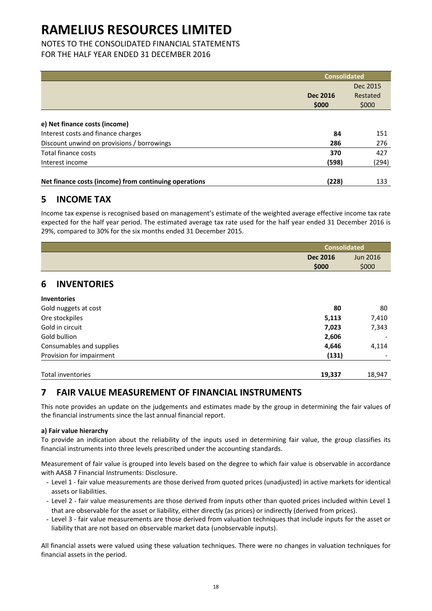### NOTES TO THE CONSOLIDATED FINANCIAL STATEMENTS FOR THE HALF YEAR ENDED 31 DECEMBER 2016

|                                                       | <b>Consolidated</b> |          |
|-------------------------------------------------------|---------------------|----------|
|                                                       |                     | Dec 2015 |
|                                                       | <b>Dec 2016</b>     | Restated |
|                                                       | \$000               | \$000    |
|                                                       |                     |          |
| e) Net finance costs (income)                         |                     |          |
| Interest costs and finance charges                    | 84                  | 151      |
| Discount unwind on provisions / borrowings            | 286                 | 276      |
| <b>Total finance costs</b>                            | 370                 | 427      |
| Interest income                                       | (598)               | (294)    |
| Net finance costs (income) from continuing operations | (228)               | 133      |

## **5 INCOME TAX**

Income tax expense is recognised based on management's estimate of the weighted average effective income tax rate expected for the half year period. The estimated average tax rate used for the half year ended 31 December 2016 is 29%, compared to 30% for the six months ended 31 December 2015.

|                          | <b>Consolidated</b> |                 |  |
|--------------------------|---------------------|-----------------|--|
|                          | <b>Dec 2016</b>     | <b>Jun 2016</b> |  |
|                          | \$000               | \$000           |  |
| <b>INVENTORIES</b><br>6  |                     |                 |  |
| <b>Inventories</b>       |                     |                 |  |
| Gold nuggets at cost     | 80                  | 80              |  |
| Ore stockpiles           | 5,113               | 7,410           |  |
| Gold in circuit          | 7,023               | 7,343           |  |
| Gold bullion             | 2,606               |                 |  |
| Consumables and supplies | 4,646               | 4,114           |  |
| Provision for impairment | (131)               |                 |  |
| Total inventories        | 19,337              | 18,947          |  |

## **7 FAIR VALUE MEASUREMENT OF FINANCIAL INSTRUMENTS**

This note provides an update on the judgements and estimates made by the group in determining the fair values of the financial instruments since the last annual financial report.

### **a) Fair value hierarchy**

To provide an indication about the reliability of the inputs used in determining fair value, the group classifies its financial instruments into three levels prescribed under the accounting standards.

Measurement of fair value is grouped into levels based on the degree to which fair value is observable in accordance with AASB 7 Financial Instruments: Disclosure.

- Level 1 ‐ fair value measurements are those derived from quoted prices (unadjusted) in active markets for identical assets or liabilities.
- Level 2 fair value measurements are those derived from inputs other than quoted prices included within Level 1 that are observable for the asset or liability, either directly (as prices) or indirectly (derived from prices).
- Level 3 ‐ fair value measurements are those derived from valuation techniques that include inputs for the asset or liability that are not based on observable market data (unobservable inputs).

All financial assets were valued using these valuation techniques. There were no changes in valuation techniques for financial assets in the period.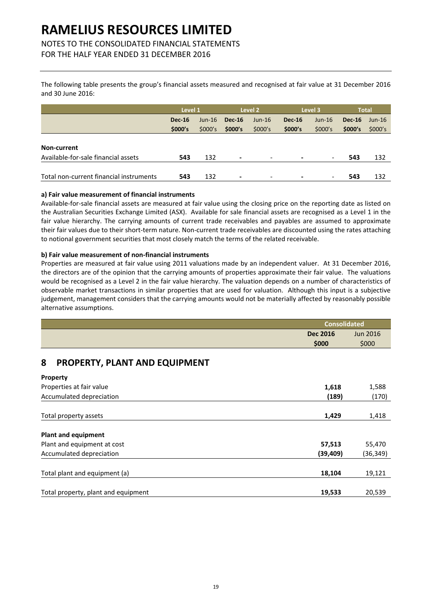## NOTES TO THE CONSOLIDATED FINANCIAL STATEMENTS

FOR THE HALF YEAR ENDED 31 DECEMBER 2016

The following table presents the group's financial assets measured and recognised at fair value at 31 December 2016 and 30 June 2016:

|                                         | Level 1       |          |                          | Level 2                  |               | Level 3                  |               | <b>Total</b> |
|-----------------------------------------|---------------|----------|--------------------------|--------------------------|---------------|--------------------------|---------------|--------------|
|                                         | <b>Dec-16</b> | $Jun-16$ | $Dec-16$                 | $Jun-16$                 | <b>Dec-16</b> | $Jun-16$                 | <b>Dec-16</b> | $Jun-16$     |
|                                         | \$000's       | \$000's  | \$000's                  | \$000's                  | \$000's       | \$000's                  | \$000's       | \$000's      |
|                                         |               |          |                          |                          |               |                          |               |              |
| Non-current                             |               |          |                          |                          |               |                          |               |              |
| Available-for-sale financial assets     | 543           | 132      | $\overline{\phantom{a}}$ | $\overline{\phantom{0}}$ |               | $\overline{\phantom{a}}$ | 543           | 132          |
|                                         |               |          |                          |                          |               |                          |               |              |
| Total non-current financial instruments | 543           | 132      | $\overline{\phantom{a}}$ | $\overline{\phantom{0}}$ |               | $\overline{\phantom{a}}$ | 543           | 132          |

#### **a) Fair value measurement of financial instruments**

Available‐for‐sale financial assets are measured at fair value using the closing price on the reporting date as listed on the Australian Securities Exchange Limited (ASX). Available for sale financial assets are recognised as a Level 1 in the fair value hierarchy. The carrying amounts of current trade receivables and payables are assumed to approximate their fair values due to their short‐term nature. Non‐current trade receivables are discounted using the rates attaching to notional government securities that most closely match the terms of the related receivable.

### **b) Fair value measurement of non‐financial instruments**

Properties are measured at fair value using 2011 valuations made by an independent valuer. At 31 December 2016, the directors are of the opinion that the carrying amounts of properties approximate their fair value. The valuations would be recognised as a Level 2 in the fair value hierarchy. The valuation depends on a number of characteristics of observable market transactions in similar properties that are used for valuation. Although this input is a subjective judgement, management considers that the carrying amounts would not be materially affected by reasonably possible alternative assumptions.

|                                     | <b>Consolidated</b> |                 |
|-------------------------------------|---------------------|-----------------|
|                                     | <b>Dec 2016</b>     | <b>Jun 2016</b> |
|                                     | \$000               | \$000           |
| 8<br>PROPERTY, PLANT AND EQUIPMENT  |                     |                 |
| <b>Property</b>                     |                     |                 |
| Properties at fair value            | 1,618               | 1,588           |
| Accumulated depreciation            | (189)               | (170)           |
| Total property assets               | 1,429               | 1,418           |
| <b>Plant and equipment</b>          |                     |                 |
| Plant and equipment at cost         | 57,513              | 55,470          |
| Accumulated depreciation            | (39,409)            | (36, 349)       |
| Total plant and equipment (a)       | 18,104              | 19,121          |
| Total property, plant and equipment | 19,533              | 20,539          |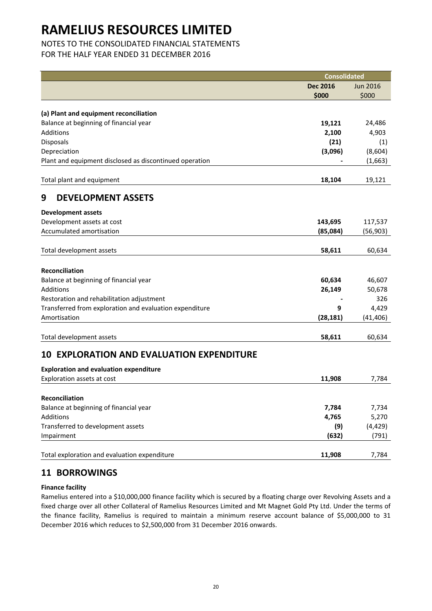## NOTES TO THE CONSOLIDATED FINANCIAL STATEMENTS

FOR THE HALF YEAR ENDED 31 DECEMBER 2016

|                                                         | <b>Consolidated</b> |                   |
|---------------------------------------------------------|---------------------|-------------------|
|                                                         | <b>Dec 2016</b>     | <b>Jun 2016</b>   |
|                                                         | \$000               | \$000             |
|                                                         |                     |                   |
| (a) Plant and equipment reconciliation                  |                     |                   |
| Balance at beginning of financial year                  | 19,121              | 24,486            |
| Additions                                               | 2,100               | 4,903             |
| Disposals                                               | (21)                | (1)               |
| Depreciation                                            | (3,096)             | (8,604)           |
| Plant and equipment disclosed as discontinued operation |                     | (1,663)           |
| Total plant and equipment                               | 18,104              | 19,121            |
| <b>DEVELOPMENT ASSETS</b><br>9                          |                     |                   |
| <b>Development assets</b>                               |                     |                   |
| Development assets at cost                              | 143,695             | 117,537           |
| Accumulated amortisation                                | (85,084)            | (56, 903)         |
|                                                         |                     |                   |
| Total development assets                                | 58,611              | 60,634            |
| Reconciliation                                          |                     |                   |
| Balance at beginning of financial year                  | 60,634              | 46,607            |
| Additions                                               | 26,149              | 50,678            |
| Restoration and rehabilitation adjustment               |                     | 326               |
| Transferred from exploration and evaluation expenditure | 9                   | 4,429             |
| Amortisation                                            | (28, 181)           | (41, 406)         |
|                                                         |                     |                   |
| Total development assets                                | 58,611              | 60,634            |
| <b>EXPLORATION AND EVALUATION EXPENDITURE</b><br>10     |                     |                   |
| <b>Exploration and evaluation expenditure</b>           |                     |                   |
| Exploration assets at cost                              | 11,908              | 7,784             |
|                                                         |                     |                   |
| Reconciliation                                          |                     |                   |
| Balance at beginning of financial year<br>Additions     | 7,784<br>4,765      | 7,734             |
|                                                         |                     | 5,270             |
| Transferred to development assets<br>Impairment         | (9)<br>(632)        | (4, 429)<br>(791) |
|                                                         |                     |                   |
| Total exploration and evaluation expenditure            | 11,908              | 7,784             |

## **11 BORROWINGS**

### **Finance facility**

Ramelius entered into a \$10,000,000 finance facility which is secured by a floating charge over Revolving Assets and a fixed charge over all other Collateral of Ramelius Resources Limited and Mt Magnet Gold Pty Ltd. Under the terms of the finance facility, Ramelius is required to maintain a minimum reserve account balance of \$5,000,000 to 31 December 2016 which reduces to \$2,500,000 from 31 December 2016 onwards.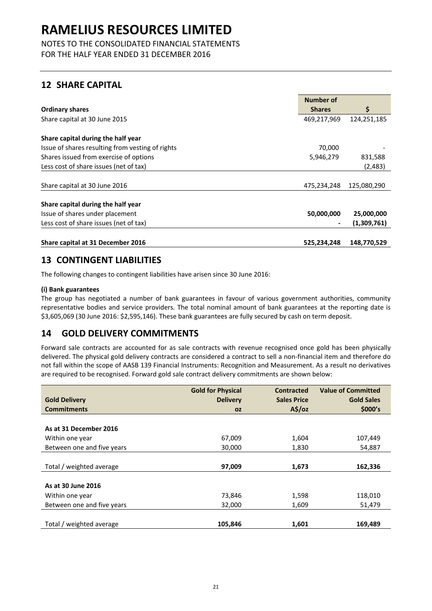NOTES TO THE CONSOLIDATED FINANCIAL STATEMENTS FOR THE HALF YEAR ENDED 31 DECEMBER 2016

## **12 SHARE CAPITAL**

|                                                  | Number of     |             |
|--------------------------------------------------|---------------|-------------|
| <b>Ordinary shares</b>                           | <b>Shares</b> | Ŝ.          |
| Share capital at 30 June 2015                    | 469,217,969   | 124,251,185 |
| Share capital during the half year               |               |             |
| Issue of shares resulting from vesting of rights | 70,000        |             |
| Shares issued from exercise of options           | 5,946,279     | 831,588     |
| Less cost of share issues (net of tax)           |               | (2,483)     |
|                                                  |               |             |
| Share capital at 30 June 2016                    | 475,234,248   | 125,080,290 |
| Share capital during the half year               |               |             |
| Issue of shares under placement                  | 50,000,000    | 25,000,000  |
| Less cost of share issues (net of tax)           |               | (1,309,761) |
| Share capital at 31 December 2016                | 525,234,248   | 148,770,529 |

## **13 CONTINGENT LIABILITIES**

The following changes to contingent liabilities have arisen since 30 June 2016:

### **(i) Bank guarantees**

The group has negotiated a number of bank guarantees in favour of various government authorities, community representative bodies and service providers. The total nominal amount of bank guarantees at the reporting date is \$3,605,069 (30 June 2016: \$2,595,146). These bank guarantees are fully secured by cash on term deposit.

## **14 GOLD DELIVERY COMMITMENTS**

Forward sale contracts are accounted for as sale contracts with revenue recognised once gold has been physically delivered. The physical gold delivery contracts are considered a contract to sell a non‐financial item and therefore do not fall within the scope of AASB 139 Financial Instruments: Recognition and Measurement. As a result no derivatives are required to be recognised. Forward gold sale contract delivery commitments are shown below:

|                            | <b>Gold for Physical</b> | <b>Contracted</b>  | <b>Value of Committed</b> |
|----------------------------|--------------------------|--------------------|---------------------------|
| <b>Gold Delivery</b>       | <b>Delivery</b>          | <b>Sales Price</b> | <b>Gold Sales</b>         |
| <b>Commitments</b>         | <b>OZ</b>                | $A\frac{2}{3}$ /oz | \$000's                   |
|                            |                          |                    |                           |
| As at 31 December 2016     |                          |                    |                           |
| Within one year            | 67,009                   | 1,604              | 107,449                   |
| Between one and five years | 30,000                   | 1,830              | 54,887                    |
|                            |                          |                    |                           |
| Total / weighted average   | 97,009                   | 1,673              | 162,336                   |
|                            |                          |                    |                           |
| As at 30 June 2016         |                          |                    |                           |
| Within one year            | 73,846                   | 1,598              | 118,010                   |
| Between one and five years | 32,000                   | 1,609              | 51,479                    |
|                            |                          |                    |                           |
| Total / weighted average   | 105,846                  | 1,601              | 169,489                   |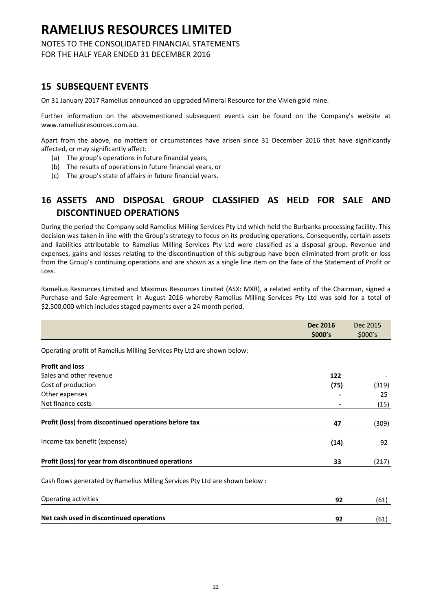### NOTES TO THE CONSOLIDATED FINANCIAL STATEMENTS FOR THE HALF YEAR ENDED 31 DECEMBER 2016

## **15 SUBSEQUENT EVENTS**

On 31 January 2017 Ramelius announced an upgraded Mineral Resource for the Vivien gold mine.

Further information on the abovementioned subsequent events can be found on the Company's website at www.rameliusresources.com.au.

Apart from the above, no matters or circumstances have arisen since 31 December 2016 that have significantly affected, or may significantly affect:

- (a) The group's operations in future financial years,
- (b) The results of operations in future financial years, or
- (c) The group's state of affairs in future financial years.

## **16 ASSETS AND DISPOSAL GROUP CLASSIFIED AS HELD FOR SALE AND DISCONTINUED OPERATIONS**

During the period the Company sold Ramelius Milling Services Pty Ltd which held the Burbanks processing facility. This decision was taken in line with the Group's strategy to focus on its producing operations. Consequently, certain assets and liabilities attributable to Ramelius Milling Services Pty Ltd were classified as a disposal group. Revenue and expenses, gains and losses relating to the discontinuation of this subgroup have been eliminated from profit or loss from the Group's continuing operations and are shown as a single line item on the face of the Statement of Profit or Loss.

Ramelius Resources Limited and Maximus Resources Limited (ASX: MXR), a related entity of the Chairman, signed a Purchase and Sale Agreement in August 2016 whereby Ramelius Milling Services Pty Ltd was sold for a total of \$2,500,000 which includes staged payments over a 24 month period.

|                                                                             | <b>Dec 2016</b> | Dec 2015 |
|-----------------------------------------------------------------------------|-----------------|----------|
|                                                                             | \$000's         | \$000's  |
| Operating profit of Ramelius Milling Services Pty Ltd are shown below:      |                 |          |
| <b>Profit and loss</b>                                                      |                 |          |
| Sales and other revenue                                                     | 122             |          |
| Cost of production                                                          | (75)            | (319)    |
| Other expenses                                                              |                 | 25       |
| Net finance costs                                                           |                 | (15)     |
| Profit (loss) from discontinued operations before tax                       | 47              | (309)    |
| Income tax benefit (expense)                                                | (14)            | 92       |
| Profit (loss) for year from discontinued operations                         | 33              | (217)    |
| Cash flows generated by Ramelius Milling Services Pty Ltd are shown below : |                 |          |
| Operating activities                                                        | 92              | (61)     |
| Net cash used in discontinued operations                                    | 92              | (61)     |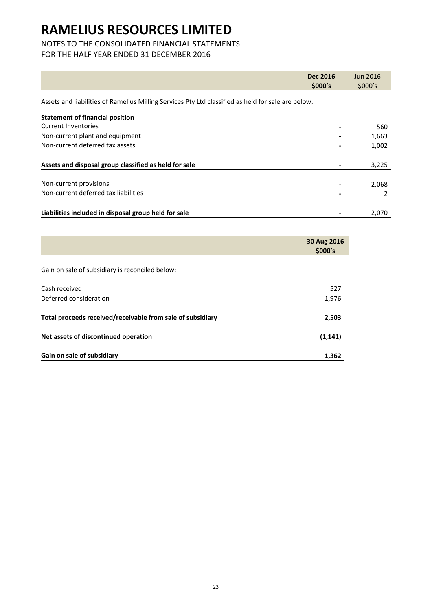## NOTES TO THE CONSOLIDATED FINANCIAL STATEMENTS

## FOR THE HALF YEAR ENDED 31 DECEMBER 2016

|                                                                                                    | <b>Dec 2016</b> | <b>Jun 2016</b> |
|----------------------------------------------------------------------------------------------------|-----------------|-----------------|
|                                                                                                    | \$000's         | \$000's         |
| Assets and liabilities of Ramelius Milling Services Pty Ltd classified as held for sale are below: |                 |                 |
| <b>Statement of financial position</b>                                                             |                 |                 |
| <b>Current Inventories</b>                                                                         |                 | 560             |
| Non-current plant and equipment                                                                    |                 | 1,663           |
| Non-current deferred tax assets                                                                    |                 | 1,002           |
|                                                                                                    |                 |                 |
| Assets and disposal group classified as held for sale                                              |                 | 3,225           |
|                                                                                                    |                 |                 |
| Non-current provisions                                                                             |                 | 2,068           |
| Non-current deferred tax liabilities                                                               |                 |                 |
|                                                                                                    |                 |                 |
| Liabilities included in disposal group held for sale                                               |                 | 2,070           |

|                                                            | 30 Aug 2016<br>\$000's |
|------------------------------------------------------------|------------------------|
|                                                            |                        |
| Gain on sale of subsidiary is reconciled below:            |                        |
| Cash received                                              | 527                    |
| Deferred consideration                                     | 1,976                  |
| Total proceeds received/receivable from sale of subsidiary | 2,503                  |
| Net assets of discontinued operation                       | (1, 141)               |
| Gain on sale of subsidiary                                 | 1,362                  |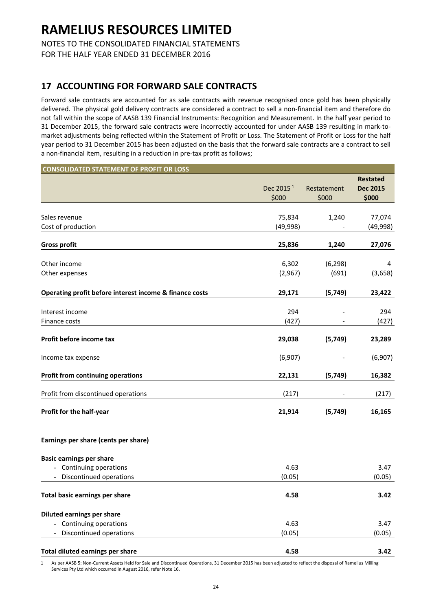NOTES TO THE CONSOLIDATED FINANCIAL STATEMENTS FOR THE HALF YEAR ENDED 31 DECEMBER 2016

## **17 ACCOUNTING FOR FORWARD SALE CONTRACTS**

Forward sale contracts are accounted for as sale contracts with revenue recognised once gold has been physically delivered. The physical gold delivery contracts are considered a contract to sell a non‐financial item and therefore do not fall within the scope of AASB 139 Financial Instruments: Recognition and Measurement. In the half year period to 31 December 2015, the forward sale contracts were incorrectly accounted for under AASB 139 resulting in mark‐to‐ market adjustments being reflected within the Statement of Profit or Loss. The Statement of Profit or Loss for the half year period to 31 December 2015 has been adjusted on the basis that the forward sale contracts are a contract to sell a non-financial item, resulting in a reduction in pre-tax profit as follows;

| <b>CONSOLIDATED STATEMENT OF PROFIT OR LOSS</b>         |                                |                      |                                             |  |
|---------------------------------------------------------|--------------------------------|----------------------|---------------------------------------------|--|
|                                                         |                                | Restatement<br>\$000 | <b>Restated</b><br><b>Dec 2015</b><br>\$000 |  |
|                                                         | Dec 2015 <sup>1</sup><br>\$000 |                      |                                             |  |
| Sales revenue                                           | 75,834                         | 1,240                | 77,074                                      |  |
| Cost of production                                      | (49, 998)                      |                      | (49, 998)                                   |  |
| <b>Gross profit</b>                                     | 25,836                         | 1,240                | 27,076                                      |  |
| Other income                                            | 6,302                          | (6, 298)             | 4                                           |  |
| Other expenses                                          | (2,967)                        | (691)                | (3,658)                                     |  |
| Operating profit before interest income & finance costs | 29,171                         | (5,749)              | 23,422                                      |  |
| Interest income                                         | 294                            |                      | 294                                         |  |
| Finance costs                                           | (427)                          |                      | (427)                                       |  |
| Profit before income tax                                | 29,038                         | (5,749)              | 23,289                                      |  |
| Income tax expense                                      | (6,907)                        |                      | (6,907)                                     |  |
| <b>Profit from continuing operations</b>                | 22,131                         | (5,749)              | 16,382                                      |  |
| Profit from discontinued operations                     | (217)                          |                      | (217)                                       |  |
| Profit for the half-year                                | 21,914                         | (5, 749)             | 16,165                                      |  |
| Earnings per share (cents per share)                    |                                |                      |                                             |  |
| <b>Basic earnings per share</b>                         |                                |                      |                                             |  |
| - Continuing operations<br>Discontinued operations      | 4.63<br>(0.05)                 |                      | 3.47<br>(0.05)                              |  |
| <b>Total basic earnings per share</b>                   | 4.58                           |                      | 3.42                                        |  |
| Diluted earnings per share                              |                                |                      |                                             |  |
| - Continuing operations                                 | 4.63                           |                      | 3.47                                        |  |
| Discontinued operations                                 | (0.05)                         |                      | (0.05)                                      |  |
| Total diluted earnings per share                        | 4.58                           |                      | 3.42                                        |  |

1 As per AASB 5: Non‐Current Assets Held for Sale and Discontinued Operations, 31 December 2015 has been adjusted to reflect the disposal of Ramelius Milling Services Pty Ltd which occurred in August 2016, refer Note 16.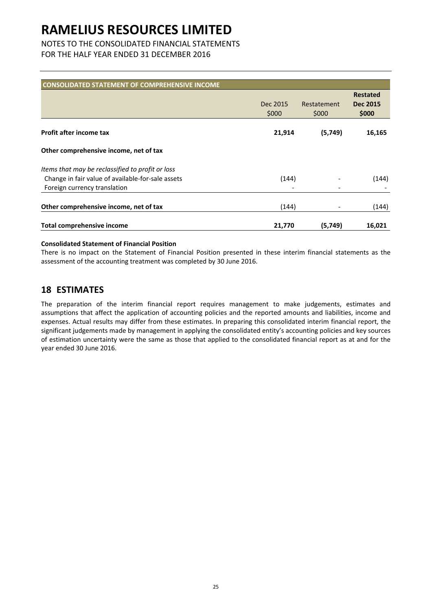## NOTES TO THE CONSOLIDATED FINANCIAL STATEMENTS

FOR THE HALF YEAR ENDED 31 DECEMBER 2016

| <b>CONSOLIDATED STATEMENT OF COMPREHENSIVE INCOME</b> |                   |                      |                          |
|-------------------------------------------------------|-------------------|----------------------|--------------------------|
|                                                       |                   |                      | <b>Restated</b>          |
|                                                       | Dec 2015<br>\$000 | Restatement<br>\$000 | <b>Dec 2015</b><br>\$000 |
|                                                       |                   |                      |                          |
| <b>Profit after income tax</b>                        | 21,914            | (5,749)              | 16,165                   |
| Other comprehensive income, net of tax                |                   |                      |                          |
| Items that may be reclassified to profit or loss      |                   |                      |                          |
| Change in fair value of available-for-sale assets     | (144)             |                      | (144)                    |
| Foreign currency translation                          |                   |                      |                          |
| Other comprehensive income, net of tax                | (144)             |                      | (144)                    |
| <b>Total comprehensive income</b>                     | 21,770            | (5,749)              | 16,021                   |

#### **Consolidated Statement of Financial Position**

There is no impact on the Statement of Financial Position presented in these interim financial statements as the assessment of the accounting treatment was completed by 30 June 2016.

### **18 ESTIMATES**

The preparation of the interim financial report requires management to make judgements, estimates and assumptions that affect the application of accounting policies and the reported amounts and liabilities, income and expenses. Actual results may differ from these estimates. In preparing this consolidated interim financial report, the significant judgements made by management in applying the consolidated entity's accounting policies and key sources of estimation uncertainty were the same as those that applied to the consolidated financial report as at and for the year ended 30 June 2016.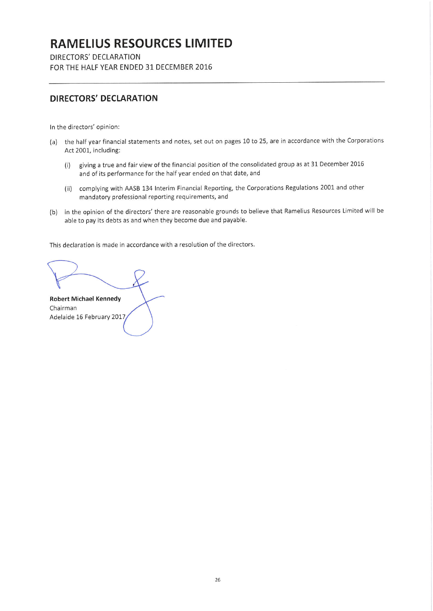DIRECTORS' DECLARATION FOR THE HALF YEAR ENDED 31 DECEMBER 2016

## **DIRECTORS' DECLARATION**

In the directors' opinion:

- (a) the half year financial statements and notes, set out on pages 10 to 25, are in accordance with the Corporations Act 2001, including:
	- giving a true and fair view of the financial position of the consolidated group as at 31 December 2016  $(i)$ and of its performance for the half year ended on that date, and
	- (ii) complying with AASB 134 Interim Financial Reporting, the Corporations Regulations 2001 and other mandatory professional reporting requirements, and
- in the opinion of the directors' there are reasonable grounds to believe that Ramelius Resources Limited will be  $(b)$ able to pay its debts as and when they become due and payable.

This declaration is made in accordance with a resolution of the directors.

**Robert Michael Kennedy** Chairman Adelaide 16 February 2017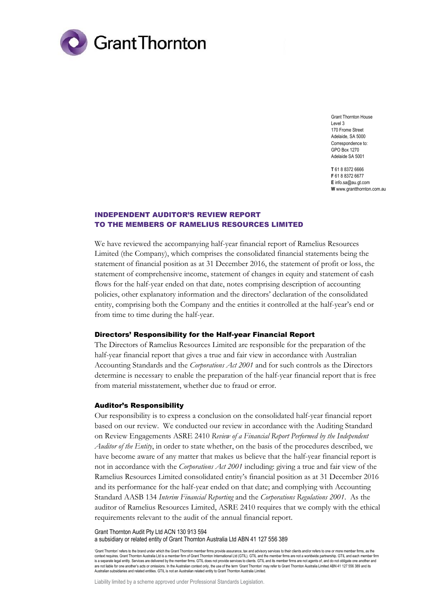

Grant Thornton House Level 3 170 Frome Street Adelaide, SA 5000 Correspondence to: GPO Box 1270 Adelaide SA 5001

**T** 61 8 8372 6666 **F** 61 8 8372 6677 **E** info.sa@au.gt.com **W** www.grantthornton.com.au

### INDEPENDENT AUDITOR'S REVIEW REPORT TO THE MEMBERS OF RAMELIUS RESOURCES LIMITED

We have reviewed the accompanying half-year financial report of Ramelius Resources Limited (the Company), which comprises the consolidated financial statements being the statement of financial position as at 31 December 2016, the statement of profit or loss, the statement of comprehensive income, statement of changes in equity and statement of cash flows for the half-year ended on that date, notes comprising description of accounting policies, other explanatory information and the directors' declaration of the consolidated entity, comprising both the Company and the entities it controlled at the half-year's end or from time to time during the half-year.

#### Directors' Responsibility for the Half-year Financial Report

The Directors of Ramelius Resources Limited are responsible for the preparation of the half-year financial report that gives a true and fair view in accordance with Australian Accounting Standards and the *Corporations Act 2001* and for such controls as the Directors determine is necessary to enable the preparation of the half-year financial report that is free from material misstatement, whether due to fraud or error.

#### Auditor's Responsibility

Our responsibility is to express a conclusion on the consolidated half-year financial report based on our review. We conducted our review in accordance with the Auditing Standard on Review Engagements ASRE 2410 *Review of a Financial Report Performed by the Independent Auditor of the Entity*, in order to state whether, on the basis of the procedures described, we have become aware of any matter that makes us believe that the half-year financial report is not in accordance with the *Corporations Act 2001* including: giving a true and fair view of the Ramelius Resources Limited consolidated entity's financial position as at 31 December 2016 and its performance for the half-year ended on that date; and complying with Accounting Standard AASB 134 *Interim Financial Reporting* and the *Corporations Regulations 2001*. As the auditor of Ramelius Resources Limited, ASRE 2410 requires that we comply with the ethical requirements relevant to the audit of the annual financial report.

Grant Thornton Audit Pty Ltd ACN 130 913 594 a subsidiary or related entity of Grant Thornton Australia Ltd ABN 41 127 556 389

'Grant Thornton' refers to the brand under which the Grant Thornton member firms provide assurance, tax and advisory services to their clients and/or refers to one or more member firms, as the context requires. Grant Thornton Australia Ltd is a member firm of Grant Thornton International Ltd (GTIL). GTIL and the member firms are not a worldwide partnership. GTIL and each member firm is a separate legal entity. Services are delivered by the member firms. GTIL does not provide services to clients. GTIL and its member firms are not agents of, and do not obligate one another and are not liable for one another's acts or omissions. In the Australian context only, the use of the term 'Grant Thornton' may refer to Grant Thornton Australia Limited ABN 41 127 556 389 and its Australian subsidiaries and related entities. GTIL is not an Australian related entity to Grant Thornton Australia Limited.